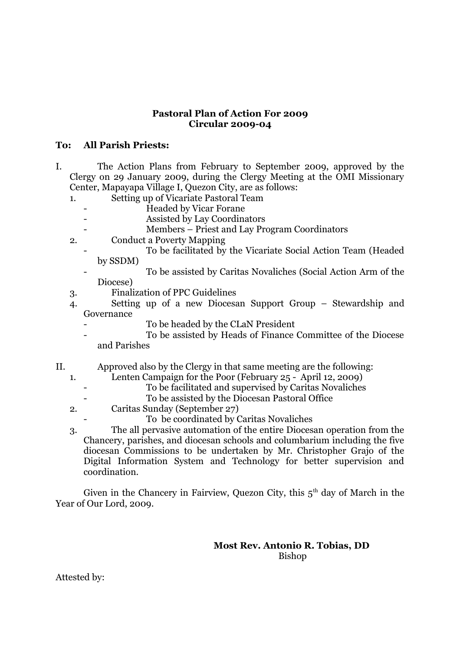## **Pastoral Plan of Action For 2009 Circular 2009-04**

## **To: All Parish Priests:**

- I. The Action Plans from February to September 2009, approved by the Clergy on 29 January 2009, during the Clergy Meeting at the OMI Missionary Center, Mapayapa Village I, Quezon City, are as follows:
	- 1. Setting up of Vicariate Pastoral Team
		- Headed by Vicar Forane
			- Assisted by Lay Coordinators
			- Members Priest and Lay Program Coordinators
	- 2. Conduct a Poverty Mapping
		- To be facilitated by the Vicariate Social Action Team (Headed by SSDM)
		- To be assisted by Caritas Novaliches (Social Action Arm of the Diocese)
	- 3. Finalization of PPC Guidelines
	- 4. Setting up of a new Diocesan Support Group Stewardship and Governance
		- To be headed by the CLaN President
		- To be assisted by Heads of Finance Committee of the Diocese and Parishes
- II. Approved also by the Clergy in that same meeting are the following:
	- 1. Lenten Campaign for the Poor (February 25 April 12, 2009)
		- To be facilitated and supervised by Caritas Novaliches
			- To be assisted by the Diocesan Pastoral Office
	- 2. Caritas Sunday (September 27)
		- To be coordinated by Caritas Novaliches
	- 3. The all pervasive automation of the entire Diocesan operation from the Chancery, parishes, and diocesan schools and columbarium including the five diocesan Commissions to be undertaken by Mr. Christopher Grajo of the Digital Information System and Technology for better supervision and coordination.

Given in the Chancery in Fairview, Quezon City, this  $5<sup>th</sup>$  day of March in the Year of Our Lord, 2009.

> **Most Rev. Antonio R. Tobias, DD** Bishop

Attested by: